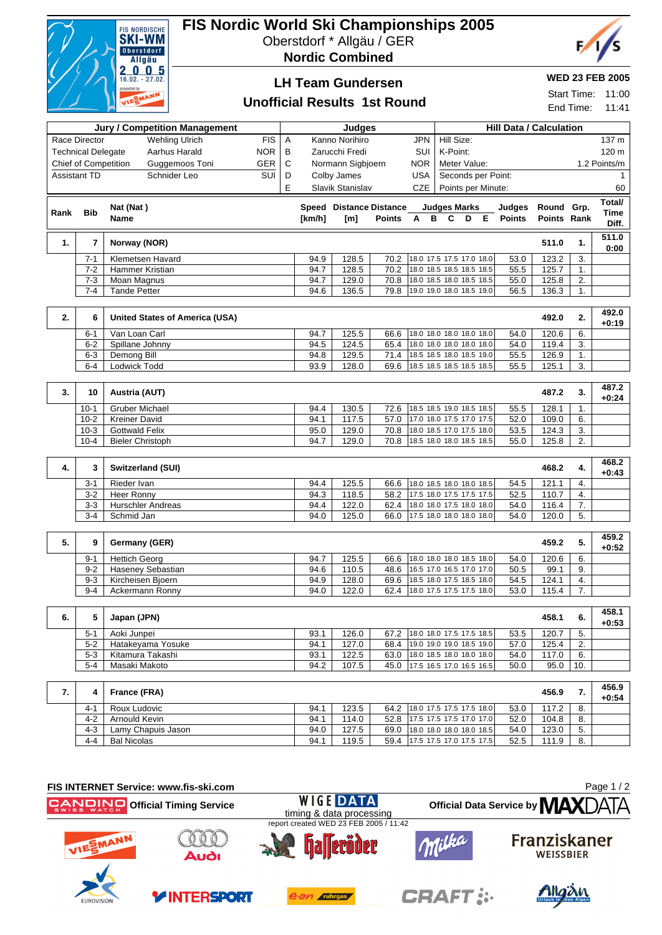

# **FIS Nordic World Ski Championships 2005**

Oberstdorf \* Allgäu / GER

**Nordic Combined**



## **LH Team Gundersen**

### **WED 23 FEB 2005**

Start Time: 11:00 End Time: 11:41

### **Unofficial Results 1st Round**

| <b>Jury / Competition Management</b> |                             |                                       |            |   | Judges |                         |               |                          |  | <b>Hill Data / Calculation</b> |  |  |               |             |                  |                  |
|--------------------------------------|-----------------------------|---------------------------------------|------------|---|--------|-------------------------|---------------|--------------------------|--|--------------------------------|--|--|---------------|-------------|------------------|------------------|
|                                      | Race Director               | <b>Wehling Ulrich</b>                 | <b>FIS</b> | Α |        | Kanno Norihiro          |               | <b>JPN</b>               |  | Hill Size:                     |  |  |               |             |                  | 137 m            |
|                                      | <b>Technical Delegate</b>   | Aarhus Harald                         | <b>NOR</b> | B |        | Zarucchi Fredi          |               | SUI                      |  | K-Point:                       |  |  |               |             |                  | 120 m            |
|                                      | <b>Chief of Competition</b> | Guggemoos Toni                        | GER        | C |        | Normann Sigbjoern       |               | <b>NOR</b>               |  | Meter Value:                   |  |  |               |             |                  | 1.2 Points/m     |
|                                      | <b>Assistant TD</b>         | Schnider Leo                          | SUI        | D |        | Colby James             |               | <b>USA</b>               |  | Seconds per Point:             |  |  |               |             |                  | $\mathbf 1$      |
|                                      |                             |                                       |            | E |        | Slavik Stanislav        |               | <b>CZE</b>               |  | Points per Minute:             |  |  |               |             |                  | 60               |
|                                      |                             |                                       |            |   |        |                         |               |                          |  |                                |  |  |               |             |                  | Total/           |
| Rank                                 | <b>Bib</b>                  | Nat (Nat)                             |            |   |        | Speed Distance Distance |               |                          |  | <b>Judges Marks</b>            |  |  | Judges        | Round Grp.  |                  | Time             |
|                                      |                             | Name                                  |            |   | [km/h] | [m]                     | <b>Points</b> | A                        |  | B C D E                        |  |  | <b>Points</b> | Points Rank |                  | Diff.            |
|                                      |                             |                                       |            |   |        |                         |               |                          |  |                                |  |  |               |             |                  | 511.0            |
| 1.                                   | $\overline{7}$              | Norway (NOR)                          |            |   |        |                         |               |                          |  |                                |  |  |               | 511.0       | 1.               | 0:00             |
|                                      | $7 - 1$                     | Klemetsen Havard                      |            |   | 94.9   | 128.5                   | 70.2          | 18.0 17.5 17.5 17.0 18.0 |  |                                |  |  | 53.0          | 123.2       | 3.               |                  |
|                                      | $7 - 2$                     | Hammer Kristian                       |            |   | 94.7   | 128.5                   | 70.2          | 18.0 18.5 18.5 18.5 18.5 |  |                                |  |  | 55.5          | 125.7       | 1.               |                  |
|                                      | $7 - 3$                     | Moan Magnus                           |            |   | 94.7   | 129.0                   | 70.8          | 18.0 18.5 18.0 18.5 18.5 |  |                                |  |  | 55.0          | 125.8       | 2.               |                  |
|                                      | $7 - 4$                     | <b>Tande Petter</b>                   |            |   | 94.6   | 136.5                   | 79.8          | 19.0 19.0 18.0 18.5 19.0 |  |                                |  |  | 56.5          | 136.3       | 1.               |                  |
| 2.                                   | 6                           | <b>United States of America (USA)</b> |            |   |        |                         |               |                          |  |                                |  |  |               | 492.0       | 2.               | 492.0<br>$+0:19$ |
|                                      | $6 - 1$                     | Van Loan Carl                         |            |   | 94.7   | 125.5                   | 66.6          | 18.0 18.0 18.0 18.0 18.0 |  |                                |  |  | 54.0          | 120.6       | 6.               |                  |
|                                      | $6 - 2$                     | Spillane Johnny                       |            |   | 94.5   | 124.5                   | 65.4          | 18.0 18.0 18.0 18.0 18.0 |  |                                |  |  | 54.0          | 119.4       | 3.               |                  |
|                                      | $6 - 3$                     | Demong Bill                           |            |   | 94.8   | 129.5                   | 71.4          | 18.5 18.5 18.0 18.5 19.0 |  |                                |  |  | 55.5          | 126.9       | 1.               |                  |
|                                      | $6-4$                       | Lodwick Todd                          |            |   | 93.9   | 128.0                   | 69.6          | 18.5 18.5 18.5 18.5 18.5 |  |                                |  |  | 55.5          | 125.1       | $\overline{3}$ . |                  |
|                                      |                             |                                       |            |   |        |                         |               |                          |  |                                |  |  |               |             |                  |                  |
| 3.                                   | 10                          | Austria (AUT)                         |            |   |        |                         |               |                          |  |                                |  |  |               | 487.2       | 3.               | 487.2<br>$+0:24$ |
|                                      | $10-1$                      | <b>Gruber Michael</b>                 |            |   | 94.4   | 130.5                   | 72.6          | 18.5 18.5 19.0 18.5 18.5 |  |                                |  |  | 55.5          | 128.1       | 1.               |                  |
|                                      | $10-2$                      | <b>Kreiner David</b>                  |            |   | 94.1   | 117.5                   | 57.0          | 17.0 18.0 17.5 17.0 17.5 |  |                                |  |  | 52.0          | 109.0       | 6.               |                  |
|                                      | $10-3$                      | <b>Gottwald Felix</b>                 |            |   | 95.0   | 129.0                   | 70.8          | 18.0 18.5 17.0 17.5 18.0 |  |                                |  |  | 53.5          | 124.3       | 3.               |                  |
|                                      | $10 - 4$                    | <b>Bieler Christoph</b>               |            |   | 94.7   | 129.0                   | 70.8          | 18.5 18.0 18.0 18.5 18.5 |  |                                |  |  | 55.0          | 125.8       | 2.               |                  |
|                                      |                             |                                       |            |   |        |                         |               |                          |  |                                |  |  |               |             |                  |                  |
| 4.                                   | 3                           | Switzerland (SUI)                     |            |   |        |                         |               |                          |  |                                |  |  |               | 468.2       | 4.               | 468.2<br>$+0:43$ |
|                                      | $3 - 1$                     | Rieder Ivan                           |            |   | 94.4   | 125.5                   | 66.6          | 18.0 18.5 18.0 18.0 18.5 |  |                                |  |  | 54.5          | 121.1       | 4.               |                  |
|                                      | $3 - 2$                     | Heer Ronny                            |            |   | 94.3   | 118.5                   | 58.2          | 17.5 18.0 17.5 17.5 17.5 |  |                                |  |  | 52.5          | 110.7       | 4.               |                  |
|                                      | $3 - 3$                     | <b>Hurschler Andreas</b>              |            |   | 94.4   | 122.0                   | 62.4          | 18.0 18.0 17.5 18.0 18.0 |  |                                |  |  | 54.0          | 116.4       | 7.               |                  |
|                                      | $3 - 4$                     | Schmid Jan                            |            |   | 94.0   | 125.0                   | 66.0          | 17.5 18.0 18.0 18.0 18.0 |  |                                |  |  | 54.0          | 120.0       | 5.               |                  |
|                                      |                             |                                       |            |   |        |                         |               |                          |  |                                |  |  |               |             |                  | 459.2            |
| 5.                                   | 9                           | Germany (GER)                         |            |   |        |                         |               |                          |  |                                |  |  |               | 459.2       | 5.               | $+0:52$          |
|                                      | $9 - 1$                     | <b>Hettich Georg</b>                  |            |   | 94.7   | 125.5                   | 66.6          | 18.0 18.0 18.0 18.5 18.0 |  |                                |  |  | 54.0          | 120.6       | 6.               |                  |
|                                      | $9 - 2$                     | <b>Haseney Sebastian</b>              |            |   | 94.6   | 110.5                   | 48.6          | 16.5 17.0 16.5 17.0 17.0 |  |                                |  |  | 50.5          | 99.1        | 9.               |                  |
|                                      | $9 - 3$                     | Kircheisen Bjoern                     |            |   | 94.9   | 128.0                   | 69.6          | 18.5 18.0 17.5 18.5 18.0 |  |                                |  |  | 54.5          | 124.1       | $\overline{4}$ . |                  |
|                                      | $9 - 4$                     | Ackermann Ronny                       |            |   | 94.0   | 122.0                   | 62.4          | 18.0 17.5 17.5 17.5 18.0 |  |                                |  |  | 53.0          | 115.4       | 7.               |                  |
|                                      |                             |                                       |            |   |        |                         |               |                          |  |                                |  |  |               |             |                  |                  |
| 6.                                   | 5                           | Japan (JPN)                           |            |   |        |                         |               |                          |  |                                |  |  |               | 458.1       | 6.               | 458.1<br>$+0:53$ |
|                                      | $5 - 1$                     | Aoki Junpei                           |            |   | 93.1   | 126.0                   | 67.2          | 18.0 18.0 17.5 17.5 18.5 |  |                                |  |  | 53.5          | 120.7       | 5.               |                  |
|                                      | $5 - 2$                     | Hatakeyama Yosuke                     |            |   | 94.1   | 127.0                   | 68.4          | 19.0 19.0 19.0 18.5 19.0 |  |                                |  |  | 57.0          | 125.4       | 2.               |                  |
|                                      | $5 - 3$                     | Kitamura Takashi                      |            |   | 93.1   | 122.5                   | 63.0          | 18.0 18.5 18.0 18.0 18.0 |  |                                |  |  | 54.0          | 117.0       | 6.               |                  |
|                                      | $5 - 4$                     | Masaki Makoto                         |            |   | 94.2   | 107.5                   | 45.0          | 17.5 16.5 17.0 16.5 16.5 |  |                                |  |  | 50.0          | 95.0        | 10.              |                  |

| . . |         | France (FRA)       |      |       |      |                            |      | 456.9 |      | 456.9<br>$+0:54$ |
|-----|---------|--------------------|------|-------|------|----------------------------|------|-------|------|------------------|
|     | $4 - 7$ | Roux Ludovic       | 94.1 | 123.5 | 64.2 | 18.0 17.5 17.5 17.5 18.0   | 53.0 | 117.2 | - 8. |                  |
|     | $4 - 2$ | Arnould Kevin      | 94.1 | 114.0 | 52.8 | 17.5 17.5 17.5 17.0 17.0   | 52.0 | 104.8 | -8.  |                  |
|     | $4 - 3$ | Lamy Chapuis Jason | 94.0 | 127.5 | 69.0 | $18.0$ 18.0 18.0 18.0 18.5 | 54.0 | 123.0 | -5.  |                  |
|     | 4-4     | <b>Bal Nicolas</b> | 94.  | 119.5 | 59.4 | 17.5 17.5 17.0 17.5 17.5   | 52.5 | 111.9 | -8.  |                  |